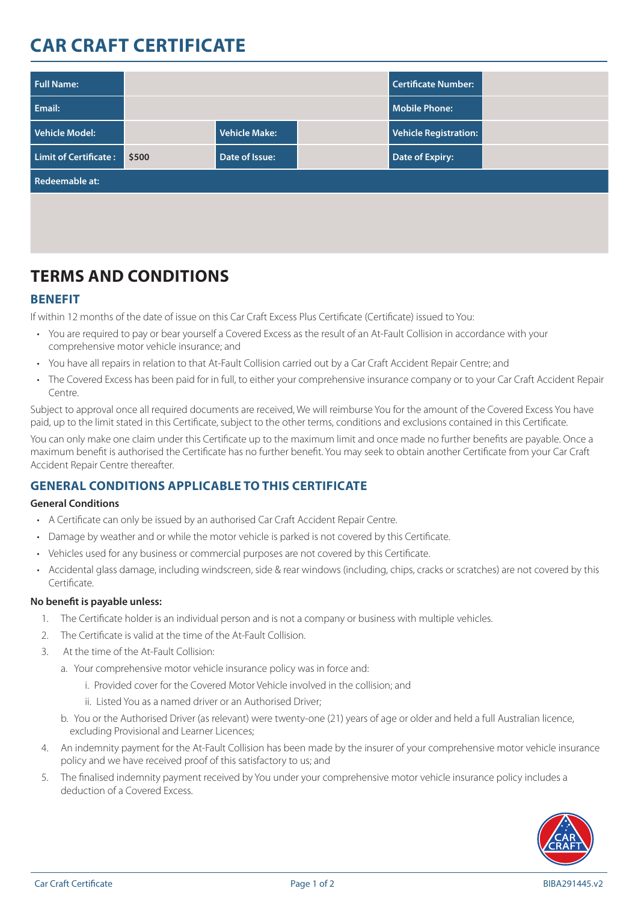# **CAR CRAFT CERTIFICATE**

| <b>Full Name:</b>            |       |                |  | Certificate Number:   |  |
|------------------------------|-------|----------------|--|-----------------------|--|
| Email:                       |       |                |  | Mobile Phone:         |  |
| Vehicle Model:               |       | Vehicle Make:  |  | Vehicle Registration: |  |
| <b>Limit of Certificate:</b> | \$500 | Date of Issue: |  | Date of Expiry:       |  |
| Redeemable at:               |       |                |  |                       |  |
|                              |       |                |  |                       |  |

## **TERMS AND CONDITIONS**

## **BENEFIT**

If within 12 months of the date of issue on this Car Craft Excess Plus Certificate (Certificate) issued to You:

- You are required to pay or bear yourself a Covered Excess as the result of an At-Fault Collision in accordance with your comprehensive motor vehicle insurance; and
- You have all repairs in relation to that At-Fault Collision carried out by a Car Craft Accident Repair Centre; and
- The Covered Excess has been paid for in full, to either your comprehensive insurance company or to your Car Craft Accident Repair Centre.

Subject to approval once all required documents are received, We will reimburse You for the amount of the Covered Excess You have paid, up to the limit stated in this Certificate, subject to the other terms, conditions and exclusions contained in this Certificate.

You can only make one claim under this Certificate up to the maximum limit and once made no further benefits are payable. Once a maximum benefit is authorised the Certificate has no further benefit. You may seek to obtain another Certificate from your Car Craft Accident Repair Centre thereafter.

## **GENERAL CONDITIONS APPLICABLE TO THIS CERTIFICATE**

#### **General Conditions**

- A Certificate can only be issued by an authorised Car Craft Accident Repair Centre.
- Damage by weather and or while the motor vehicle is parked is not covered by this Certificate.
- Vehicles used for any business or commercial purposes are not covered by this Certificate.
- Accidental glass damage, including windscreen, side & rear windows (including, chips, cracks or scratches) are not covered by this Certificate.

#### **No benefit is payable unless:**

- 1. The Certificate holder is an individual person and is not a company or business with multiple vehicles.
- 2. The Certificate is valid at the time of the At-Fault Collision.
- 3. At the time of the At-Fault Collision:
	- a. Your comprehensive motor vehicle insurance policy was in force and:
		- i. Provided cover for the Covered Motor Vehicle involved in the collision; and
		- ii. Listed You as a named driver or an Authorised Driver;
	- b. You or the Authorised Driver (as relevant) were twenty-one (21) years of age or older and held a full Australian licence, excluding Provisional and Learner Licences;
- 4. An indemnity payment for the At-Fault Collision has been made by the insurer of your comprehensive motor vehicle insurance policy and we have received proof of this satisfactory to us; and
- 5. The finalised indemnity payment received by You under your comprehensive motor vehicle insurance policy includes a deduction of a Covered Excess.